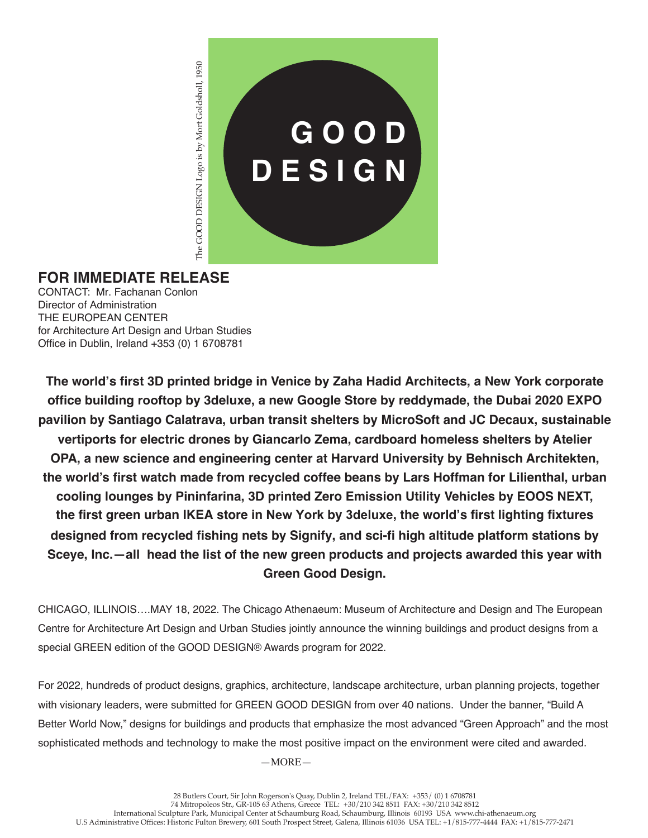

## **FOR IMMEDIATE RELEASE**

CONTACT: Mr. Fachanan Conlon Director of Administration THE EUROPEAN CENTER for Architecture Art Design and Urban Studies Office in Dublin, Ireland +353 (0) 1 6708781

**The world's first 3D printed bridge in Venice by Zaha Hadid Architects, a New York corporate office building rooftop by 3deluxe, a new Google Store by reddymade, the Dubai 2020 EXPO pavilion by Santiago Calatrava, urban transit shelters by MicroSoft and JC Decaux, sustainable vertiports for electric drones by Giancarlo Zema, cardboard homeless shelters by Atelier OPA, a new science and engineering center at Harvard University by Behnisch Architekten, the world's first watch made from recycled coffee beans by Lars Hoffman for Lilienthal, urban cooling lounges by Pininfarina, 3D printed Zero Emission Utility Vehicles by EOOS NEXT, the first green urban IKEA store in New York by 3deluxe, the world's first lighting fixtures designed from recycled fishing nets by Signify, and sci-fi high altitude platform stations by Sceye, Inc.—all head the list of the new green products and projects awarded this year with Green Good Design.**

CHICAGO, ILLINOIS….MAY 18, 2022. The Chicago Athenaeum: Museum of Architecture and Design and The European Centre for Architecture Art Design and Urban Studies jointly announce the winning buildings and product designs from a special GREEN edition of the GOOD DESIGN® Awards program for 2022.

For 2022, hundreds of product designs, graphics, architecture, landscape architecture, urban planning projects, together with visionary leaders, were submitted for GREEN GOOD DESIGN from over 40 nations. Under the banner, "Build A Better World Now," designs for buildings and products that emphasize the most advanced "Green Approach" and the most sophisticated methods and technology to make the most positive impact on the environment were cited and awarded.

—MORE—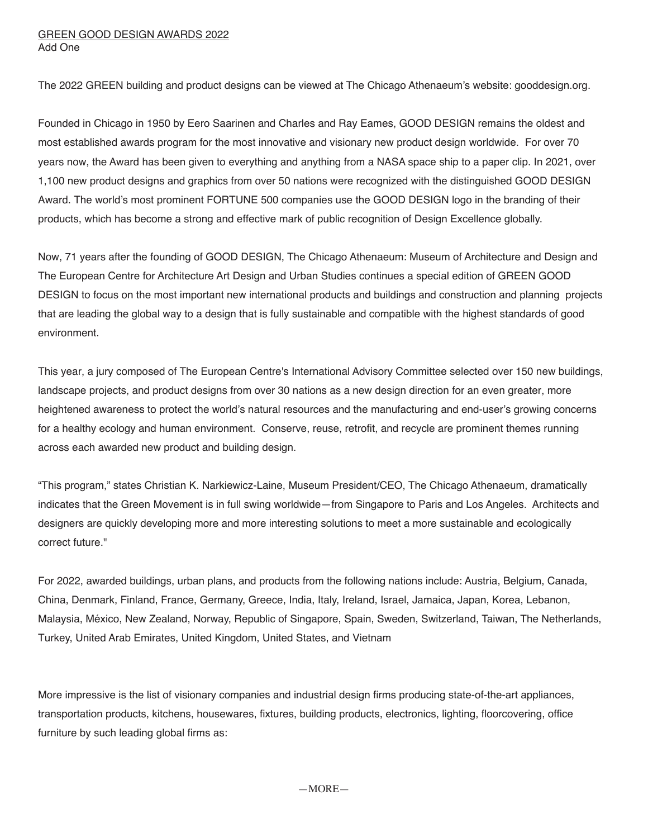## GREEN GOOD DESIGN AWARDS 2022 Add One

The 2022 GREEN building and product designs can be viewed at The Chicago Athenaeum's website: gooddesign.org.

Founded in Chicago in 1950 by Eero Saarinen and Charles and Ray Eames, GOOD DESIGN remains the oldest and most established awards program for the most innovative and visionary new product design worldwide. For over 70 years now, the Award has been given to everything and anything from a NASA space ship to a paper clip. In 2021, over 1,100 new product designs and graphics from over 50 nations were recognized with the distinguished GOOD DESIGN Award. The world's most prominent FORTUNE 500 companies use the GOOD DESIGN logo in the branding of their products, which has become a strong and effective mark of public recognition of Design Excellence globally.

Now, 71 years after the founding of GOOD DESIGN, The Chicago Athenaeum: Museum of Architecture and Design and The European Centre for Architecture Art Design and Urban Studies continues a special edition of GREEN GOOD DESIGN to focus on the most important new international products and buildings and construction and planning projects that are leading the global way to a design that is fully sustainable and compatible with the highest standards of good environment.

This year, a jury composed of The European Centre's International Advisory Committee selected over 150 new buildings, landscape projects, and product designs from over 30 nations as a new design direction for an even greater, more heightened awareness to protect the world's natural resources and the manufacturing and end-user's growing concerns for a healthy ecology and human environment. Conserve, reuse, retrofit, and recycle are prominent themes running across each awarded new product and building design.

"This program," states Christian K. Narkiewicz-Laine, Museum President/CEO, The Chicago Athenaeum, dramatically indicates that the Green Movement is in full swing worldwide—from Singapore to Paris and Los Angeles. Architects and designers are quickly developing more and more interesting solutions to meet a more sustainable and ecologically correct future."

For 2022, awarded buildings, urban plans, and products from the following nations include: Austria, Belgium, Canada, China, Denmark, Finland, France, Germany, Greece, India, Italy, Ireland, Israel, Jamaica, Japan, Korea, Lebanon, Malaysia, México, New Zealand, Norway, Republic of Singapore, Spain, Sweden, Switzerland, Taiwan, The Netherlands, Turkey, United Arab Emirates, United Kingdom, United States, and Vietnam

More impressive is the list of visionary companies and industrial design firms producing state-of-the-art appliances, transportation products, kitchens, housewares, fixtures, building products, electronics, lighting, floorcovering, office furniture by such leading global firms as: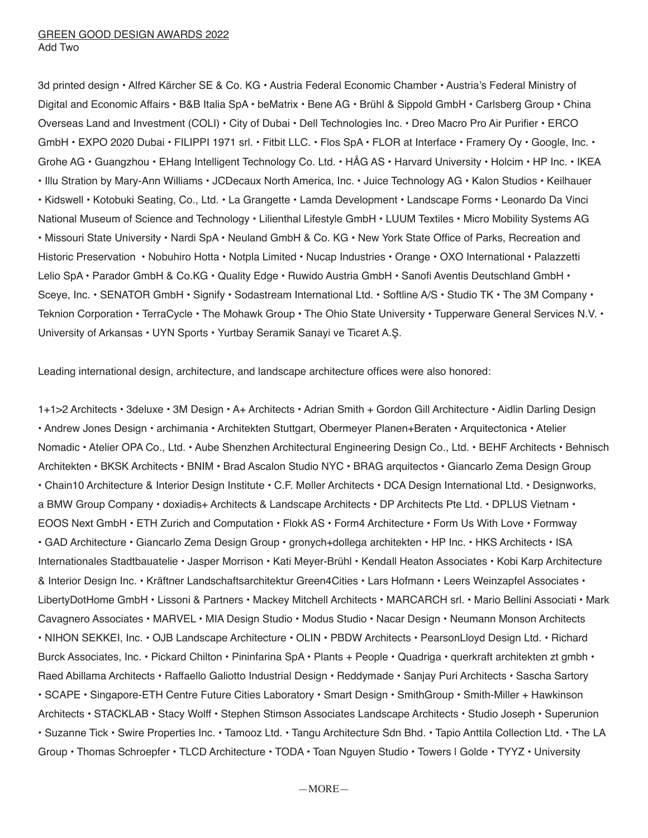3d printed design • Alfred Kärcher SE & Co. KG • Austria Federal Economic Chamber • Austria's Federal Ministry of Digital and Economic Affairs • B&B Italia SpA • beMatrix • Bene AG • Brühl & Sippold GmbH • Carlsberg Group • China Overseas Land and Investment (COLI) • City of Dubai • Dell Technologies Inc. • Dreo Macro Pro Air Purifier • ERCO GmbH • EXPO 2020 Dubai • FILIPPI 1971 srl. • Fitbit LLC. • Flos SpA • FLOR at Interface • Framery Oy • Google, Inc. • Grohe AG • Guangzhou • EHang Intelligent Technology Co. Ltd. • HÅG AS • Harvard University • Holcim • HP Inc. • IKEA • Illu Stration by Mary-Ann Williams • JCDecaux North America, Inc. • Juice Technology AG • Kalon Studios • Keilhauer • Kidswell • Kotobuki Seating, Co., Ltd. • La Grangette • Lamda Development • Landscape Forms • Leonardo Da Vinci National Museum of Science and Technology • Lilienthal Lifestyle GmbH • LUUM Textiles • Micro Mobility Systems AG • Missouri State University • Nardi SpA • Neuland GmbH & Co. KG • New York State Office of Parks, Recreation and Historic Preservation • Nobuhiro Hotta • Notpla Limited • Nucap Industries • Orange • OXO International • Palazzetti Lelio SpA • Parador GmbH & Co.KG • Quality Edge • Ruwido Austria GmbH • Sanofi Aventis Deutschland GmbH • Sceye, Inc. • SENATOR GmbH • Signify • Sodastream International Ltd. • Softline A/S • Studio TK • The 3M Company • Teknion Corporation • TerraCycle • The Mohawk Group • The Ohio State University • Tupperware General Services N.V. • University of Arkansas • UYN Sports • Yurtbay Seramik Sanayi ve Ticaret A.Ş.

Leading international design, architecture, and landscape architecture offices were also honored:

1+1>2 Architects • 3deluxe • 3M Design • A+ Architects • Adrian Smith + Gordon Gill Architecture • Aidlin Darling Design • Andrew Jones Design • archimania • Architekten Stuttgart, Obermeyer Planen+Beraten • Arquitectonica • Atelier Nomadic • Atelier OPA Co., Ltd. • Aube Shenzhen Architectural Engineering Design Co., Ltd. • BEHF Architects • Behnisch Architekten • BKSK Architects • BNIM • Brad Ascalon Studio NYC • BRAG arquitectos • Giancarlo Zema Design Group • Chain10 Architecture & Interior Design Institute • C.F. Møller Architects • DCA Design International Ltd. • Designworks, a BMW Group Company • doxiadis+ Architects & Landscape Architects • DP Architects Pte Ltd. • DPLUS Vietnam • EOOS Next GmbH • ETH Zurich and Computation • Flokk AS • Form4 Architecture • Form Us With Love • Formway • GAD Architecture • Giancarlo Zema Design Group • gronych+dollega architekten • HP Inc. • HKS Architects • ISA Internationales Stadtbauatelie • Jasper Morrison • Kati Meyer-Brühl • Kendall Heaton Associates • Kobi Karp Architecture & Interior Design Inc. • Kräftner Landschaftsarchitektur Green4Cities • Lars Hofmann • Leers Weinzapfel Associates • LibertyDotHome GmbH • Lissoni & Partners • Mackey Mitchell Architects • MARCARCH srl. • Mario Bellini Associati • Mark Cavagnero Associates • MARVEL • MIA Design Studio • Modus Studio • Nacar Design • Neumann Monson Architects • NIHON SEKKEI, Inc. • OJB Landscape Architecture • OLIN • PBDW Architects • PearsonLloyd Design Ltd. • Richard Burck Associates, Inc. • Pickard Chilton • Pininfarina SpA • Plants + People • Quadriga • querkraft architekten zt gmbh • Raed Abillama Architects • Raffaello Galiotto Industrial Design • Reddymade • Sanjay Puri Architects • Sascha Sartory • SCAPE • Singapore-ETH Centre Future Cities Laboratory • Smart Design • SmithGroup • Smith-Miller + Hawkinson Architects • STACKLAB • Stacy Wolff • Stephen Stimson Associates Landscape Architects • Studio Joseph • Superunion • Suzanne Tick • Swire Properties Inc. • Tamooz Ltd. • Tangu Architecture Sdn Bhd. • Tapio Anttila Collection Ltd. • The LA Group • Thomas Schroepfer • TLCD Architecture • TODA • Toan Nguyen Studio • Towers | Golde • TYYZ • University